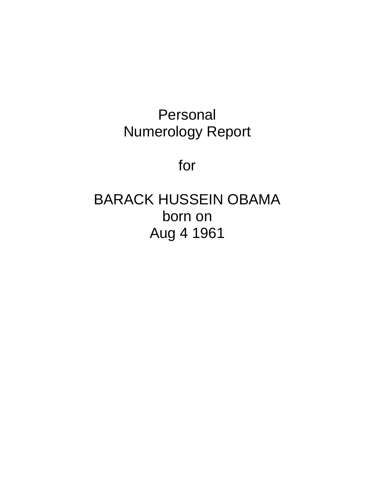## Personal Numerology Report

for

# BARACK HUSSEIN OBAMA born on Aug 4 1961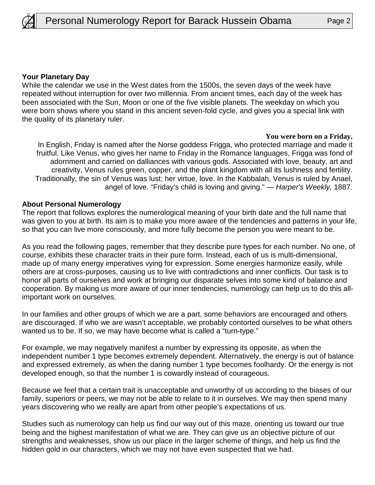

#### **Your Planetary Day**

While the calendar we use in the West dates from the 1500s, the seven days of the week have repeated without interruption for over two millennia. From ancient times, each day of the week has been associated with the Sun, Moon or one of the five visible planets. The weekday on which you were born shows where you stand in this ancient seven-fold cycle, and gives you a special link with the quality of its planetary ruler.

#### **You were born on a Friday.**

In English, Friday is named after the Norse goddess Frigga, who protected marriage and made it fruitful. Like Venus, who gives her name to Friday in the Romance languages, Frigga was fond of adornment and carried on dalliances with various gods. Associated with love, beauty, art and creativity, Venus rules green, copper, and the plant kingdom with all its lushness and fertility. Traditionally, the sin of Venus was lust; her virtue, love. In the Kabbalah, Venus is ruled by Anael, angel of love. "Friday's child is loving and giving." — Harper's Weekly, 1887.

#### **About Personal Numerology**

The report that follows explores the numerological meaning of your birth date and the full name that was given to you at birth. Its aim is to make you more aware of the tendencies and patterns in your life, so that you can live more consciously, and more fully become the person you were meant to be.

As you read the following pages, remember that they describe pure types for each number. No one, of course, exhibits these character traits in their pure form. Instead, each of us is multi-dimensional, made up of many energy imperatives vying for expression. Some energies harmonize easily, while others are at cross-purposes, causing us to live with contradictions and inner conflicts. Our task is to honor all parts of ourselves and work at bringing our disparate selves into some kind of balance and cooperation. By making us more aware of our inner tendencies, numerology can help us to do this allimportant work on ourselves.

In our families and other groups of which we are a part, some behaviors are encouraged and others are discouraged. If who we are wasn't acceptable, we probably contorted ourselves to be what others wanted us to be. If so, we may have become what is called a "turn-type."

For example, we may negatively manifest a number by expressing its opposite, as when the independent number 1 type becomes extremely dependent. Alternatively, the energy is out of balance and expressed extremely, as when the daring number 1 type becomes foolhardy. Or the energy is not developed enough, so that the number 1 is cowardly instead of courageous.

Because we feel that a certain trait is unacceptable and unworthy of us according to the biases of our family, superiors or peers, we may not be able to relate to it in ourselves. We may then spend many years discovering who we really are apart from other people's expectations of us.

Studies such as numerology can help us find our way out of this maze, orienting us toward our true being and the highest manifestation of what we are. They can give us an objective picture of our strengths and weaknesses, show us our place in the larger scheme of things, and help us find the hidden gold in our characters, which we may not have even suspected that we had.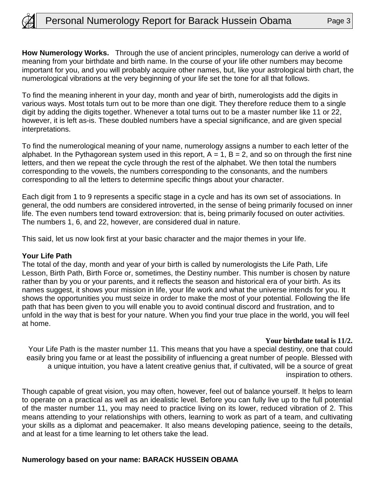

**How Numerology Works.** Through the use of ancient principles, numerology can derive a world of meaning from your birthdate and birth name. In the course of your life other numbers may become important for you, and you will probably acquire other names, but, like your astrological birth chart, the numerological vibrations at the very beginning of your life set the tone for all that follows.

To find the meaning inherent in your day, month and year of birth, numerologists add the digits in various ways. Most totals turn out to be more than one digit. They therefore reduce them to a single digit by adding the digits together. Whenever a total turns out to be a master number like 11 or 22, however, it is left as-is. These doubled numbers have a special significance, and are given special interpretations.

To find the numerological meaning of your name, numerology assigns a number to each letter of the alphabet. In the Pythagorean system used in this report,  $A = 1$ ,  $B = 2$ , and so on through the first nine letters, and then we repeat the cycle through the rest of the alphabet. We then total the numbers corresponding to the vowels, the numbers corresponding to the consonants, and the numbers corresponding to all the letters to determine specific things about your character.

Each digit from 1 to 9 represents a specific stage in a cycle and has its own set of associations. In general, the odd numbers are considered introverted, in the sense of being primarily focused on inner life. The even numbers tend toward extroversion: that is, being primarily focused on outer activities. The numbers 1, 6, and 22, however, are considered dual in nature.

This said, let us now look first at your basic character and the major themes in your life.

#### **Your Life Path**

The total of the day, month and year of your birth is called by numerologists the Life Path, Life Lesson, Birth Path, Birth Force or, sometimes, the Destiny number. This number is chosen by nature rather than by you or your parents, and it reflects the season and historical era of your birth. As its names suggest, it shows your mission in life, your life work and what the universe intends for you. It shows the opportunities you must seize in order to make the most of your potential. Following the life path that has been given to you will enable you to avoid continual discord and frustration, and to unfold in the way that is best for your nature. When you find your true place in the world, you will feel at home.

#### **Your birthdate total is 11/2.**

Your Life Path is the master number 11. This means that you have a special destiny, one that could easily bring you fame or at least the possibility of influencing a great number of people. Blessed with a unique intuition, you have a latent creative genius that, if cultivated, will be a source of great inspiration to others.

Though capable of great vision, you may often, however, feel out of balance yourself. It helps to learn to operate on a practical as well as an idealistic level. Before you can fully live up to the full potential of the master number 11, you may need to practice living on its lower, reduced vibration of 2. This means attending to your relationships with others, learning to work as part of a team, and cultivating your skills as a diplomat and peacemaker. It also means developing patience, seeing to the details, and at least for a time learning to let others take the lead.

#### **Numerology based on your name: BARACK HUSSEIN OBAMA**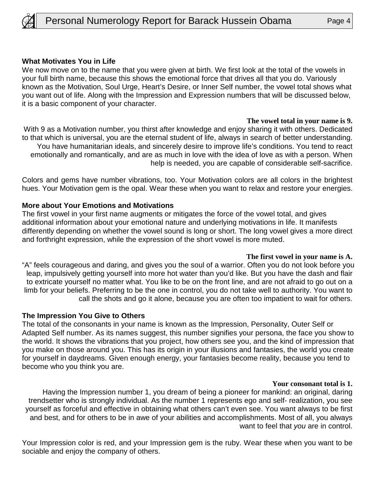

#### **What Motivates You in Life**

We now move on to the name that you were given at birth. We first look at the total of the vowels in your full birth name, because this shows the emotional force that drives all that you do. Variously known as the Motivation, Soul Urge, Heart's Desire, or Inner Self number, the vowel total shows what you want out of life. Along with the Impression and Expression numbers that will be discussed below, it is a basic component of your character.

#### **The vowel total in your name is 9.**

With 9 as a Motivation number, you thirst after knowledge and enjoy sharing it with others. Dedicated to that which is universal, you are the eternal student of life, always in search of better understanding. You have humanitarian ideals, and sincerely desire to improve life's conditions. You tend to react emotionally and romantically, and are as much in love with the idea of love as with a person. When help is needed, you are capable of considerable self-sacrifice.

Colors and gems have number vibrations, too. Your Motivation colors are all colors in the brightest hues. Your Motivation gem is the opal. Wear these when you want to relax and restore your energies.

#### **More about Your Emotions and Motivations**

The first vowel in your first name augments or mitigates the force of the vowel total, and gives additional information about your emotional nature and underlying motivations in life. It manifests differently depending on whether the vowel sound is long or short. The long vowel gives a more direct and forthright expression, while the expression of the short vowel is more muted.

#### **The first vowel in your name is A.**

"A" feels courageous and daring, and gives you the soul of a warrior. Often you do not look before you leap, impulsively getting yourself into more hot water than you'd like. But you have the dash and flair to extricate yourself no matter what. You like to be on the front line, and are not afraid to go out on a limb for your beliefs. Preferring to be the one in control, you do not take well to authority. You want to call the shots and go it alone, because you are often too impatient to wait for others.

#### **The Impression You Give to Others**

The total of the consonants in your name is known as the Impression, Personality, Outer Self or Adapted Self number. As its names suggest, this number signifies your persona, the face you show to the world. It shows the vibrations that you project, how others see you, and the kind of impression that you make on those around you. This has its origin in your illusions and fantasies, the world you create for yourself in daydreams. Given enough energy, your fantasies become reality, because you tend to become who you think you are.

#### **Your consonant total is 1.**

Having the Impression number 1, you dream of being a pioneer for mankind: an original, daring trendsetter who is strongly individual. As the number 1 represents ego and self- realization, you see yourself as forceful and effective in obtaining what others can't even see. You want always to be first and best, and for others to be in awe of your abilities and accomplishments. Most of all, you always want to feel that you are in control.

Your Impression color is red, and your Impression gem is the ruby. Wear these when you want to be sociable and enjoy the company of others.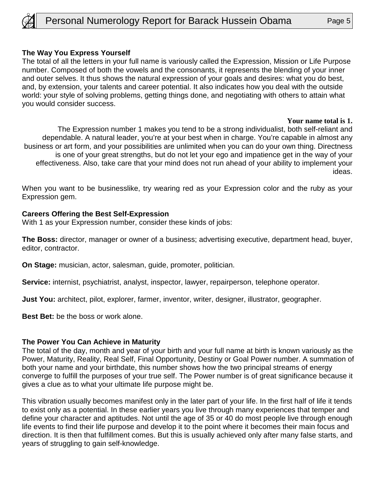

### **The Way You Express Yourself**

The total of all the letters in your full name is variously called the Expression, Mission or Life Purpose number. Composed of both the vowels and the consonants, it represents the blending of your inner and outer selves. It thus shows the natural expression of your goals and desires: what you do best, and, by extension, your talents and career potential. It also indicates how you deal with the outside world: your style of solving problems, getting things done, and negotiating with others to attain what you would consider success.

#### **Your name total is 1.**

The Expression number 1 makes you tend to be a strong individualist, both self-reliant and dependable. A natural leader, you're at your best when in charge. You're capable in almost any business or art form, and your possibilities are unlimited when you can do your own thing. Directness is one of your great strengths, but do not let your ego and impatience get in the way of your effectiveness. Also, take care that your mind does not run ahead of your ability to implement your ideas.

When you want to be businesslike, try wearing red as your Expression color and the ruby as your Expression gem.

#### **Careers Offering the Best Self-Expression**

With 1 as your Expression number, consider these kinds of jobs:

**The Boss:** director, manager or owner of a business; advertising executive, department head, buyer, editor, contractor.

**On Stage:** musician, actor, salesman, guide, promoter, politician.

**Service:** internist, psychiatrist, analyst, inspector, lawyer, repairperson, telephone operator.

**Just You:** architect, pilot, explorer, farmer, inventor, writer, designer, illustrator, geographer.

**Best Bet:** be the boss or work alone.

#### **The Power You Can Achieve in Maturity**

The total of the day, month and year of your birth and your full name at birth is known variously as the Power, Maturity, Reality, Real Self, Final Opportunity, Destiny or Goal Power number. A summation of both your name and your birthdate, this number shows how the two principal streams of energy converge to fulfill the purposes of your true self. The Power number is of great significance because it gives a clue as to what your ultimate life purpose might be.

This vibration usually becomes manifest only in the later part of your life. In the first half of life it tends to exist only as a potential. In these earlier years you live through many experiences that temper and define your character and aptitudes. Not until the age of 35 or 40 do most people live through enough life events to find their life purpose and develop it to the point where it becomes their main focus and direction. It is then that fulfillment comes. But this is usually achieved only after many false starts, and years of struggling to gain self-knowledge.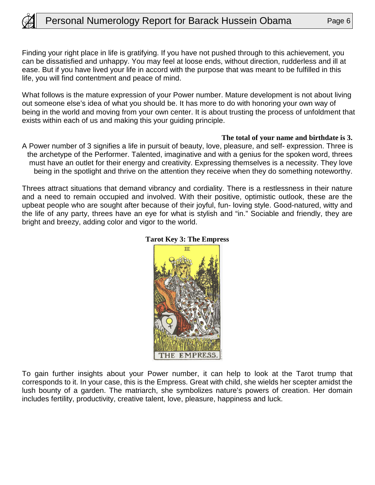

Finding your right place in life is gratifying. If you have not pushed through to this achievement, you can be dissatisfied and unhappy. You may feel at loose ends, without direction, rudderless and ill at ease. But if you have lived your life in accord with the purpose that was meant to be fulfilled in this life, you will find contentment and peace of mind.

What follows is the mature expression of your Power number. Mature development is not about living out someone else's idea of what you should be. It has more to do with honoring your own way of being in the world and moving from your own center. It is about trusting the process of unfoldment that exists within each of us and making this your guiding principle.

#### **The total of your name and birthdate is 3.**

A Power number of 3 signifies a life in pursuit of beauty, love, pleasure, and self- expression. Three is the archetype of the Performer. Talented, imaginative and with a genius for the spoken word, threes must have an outlet for their energy and creativity. Expressing themselves is a necessity. They love being in the spotlight and thrive on the attention they receive when they do something noteworthy.

Threes attract situations that demand vibrancy and cordiality. There is a restlessness in their nature and a need to remain occupied and involved. With their positive, optimistic outlook, these are the upbeat people who are sought after because of their joyful, fun- loving style. Good-natured, witty and the life of any party, threes have an eye for what is stylish and "in." Sociable and friendly, they are bright and breezy, adding color and vigor to the world.



#### **Tarot Key 3: The Empress**

To gain further insights about your Power number, it can help to look at the Tarot trump that corresponds to it. In your case, this is the Empress. Great with child, she wields her scepter amidst the lush bounty of a garden. The matriarch, she symbolizes nature's powers of creation. Her domain includes fertility, productivity, creative talent, love, pleasure, happiness and luck.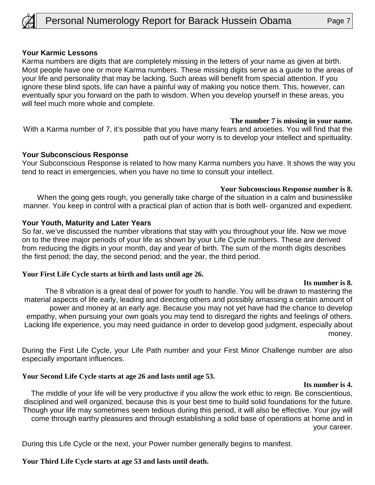

#### **Your Karmic Lessons**

Karma numbers are digits that are completely missing in the letters of your name as given at birth. Most people have one or more Karma numbers. These missing digits serve as a guide to the areas of your life and personality that may be lacking. Such areas will benefit from special attention. If you ignore these blind spots, life can have a painful way of making you notice them. This, however, can eventually spur you forward on the path to wisdom. When you develop yourself in these areas, you will feel much more whole and complete.

#### **The number 7 is missing in your name.**

With a Karma number of 7, it's possible that you have many fears and anxieties. You will find that the path out of your worry is to develop your intellect and spirituality.

#### **Your Subconscious Response**

Your Subconscious Response is related to how many Karma numbers you have. It shows the way you tend to react in emergencies, when you have no time to consult your intellect.

### **Your Subconscious Response number is 8.**

When the going gets rough, you generally take charge of the situation in a calm and businesslike manner. You keep in control with a practical plan of action that is both well- organized and expedient.

#### **Your Youth, Maturity and Later Years**

So far, we've discussed the number vibrations that stay with you throughout your life. Now we move on to the three major periods of your life as shown by your Life Cycle numbers. These are derived from reducing the digits in your month, day and year of birth. The sum of the month digits describes the first period; the day, the second period; and the year, the third period.

#### **Your First Life Cycle starts at birth and lasts until age 26.**

#### **Its number is 8.**

The 8 vibration is a great deal of power for youth to handle. You will be drawn to mastering the material aspects of life early, leading and directing others and possibly amassing a certain amount of power and money at an early age. Because you may not yet have had the chance to develop empathy, when pursuing your own goals you may tend to disregard the rights and feelings of others. Lacking life experience, you may need guidance in order to develop good judgment, especially about money.

During the First Life Cycle, your Life Path number and your First Minor Challenge number are also especially important influences.

#### **Your Second Life Cycle starts at age 26 and lasts until age 53.**

#### **Its number is 4.**

The middle of your life will be very productive if you allow the work ethic to reign. Be conscientious, disciplined and well organized, because this is your best time to build solid foundations for the future. Though your life may sometimes seem tedious during this period, it will also be effective. Your joy will come through earthy pleasures and through establishing a solid base of operations at home and in your career.

During this Life Cycle or the next, your Power number generally begins to manifest.

**Your Third Life Cycle starts at age 53 and lasts until death.**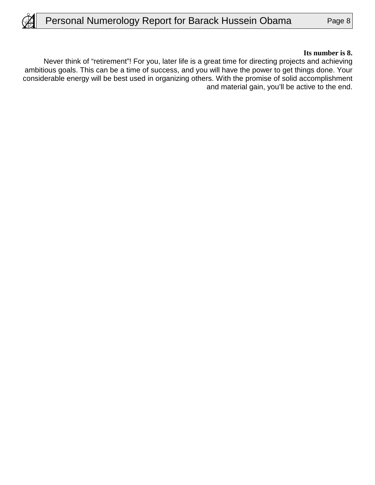#### **Its number is 8.**

Never think of "retirement"! For you, later life is a great time for directing projects and achieving ambitious goals. This can be a time of success, and you will have the power to get things done. Your considerable energy will be best used in organizing others. With the promise of solid accomplishment and material gain, you'll be active to the end.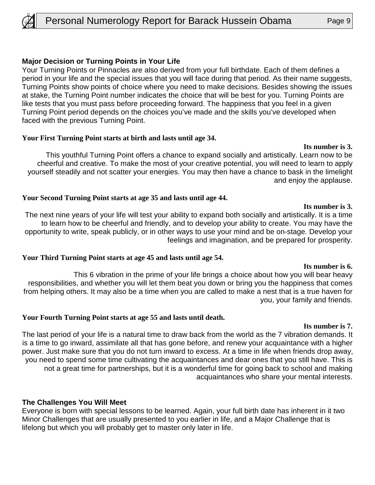

#### **Major Decision or Turning Points in Your Life**

Your Turning Points or Pinnacles are also derived from your full birthdate. Each of them defines a period in your life and the special issues that you will face during that period. As their name suggests, Turning Points show points of choice where you need to make decisions. Besides showing the issues at stake, the Turning Point number indicates the choice that will be best for you. Turning Points are like tests that you must pass before proceeding forward. The happiness that you feel in a given Turning Point period depends on the choices you've made and the skills you've developed when faced with the previous Turning Point.

#### **Your First Turning Point starts at birth and lasts until age 34.**

This youthful Turning Point offers a chance to expand socially and artistically. Learn now to be cheerful and creative. To make the most of your creative potential, you will need to learn to apply yourself steadily and not scatter your energies. You may then have a chance to bask in the limelight and enjoy the applause.

#### **Your Second Turning Point starts at age 35 and lasts until age 44.**

The next nine years of your life will test your ability to expand both socially and artistically. It is a time to learn how to be cheerful and friendly, and to develop your ability to create. You may have the opportunity to write, speak publicly, or in other ways to use your mind and be on-stage. Develop your feelings and imagination, and be prepared for prosperity.

#### **Your Third Turning Point starts at age 45 and lasts until age 54.**

This 6 vibration in the prime of your life brings a choice about how you will bear heavy responsibilities, and whether you will let them beat you down or bring you the happiness that comes from helping others. It may also be a time when you are called to make a nest that is a true haven for you, your family and friends.

#### **Your Fourth Turning Point starts at age 55 and lasts until death.**

#### **Its number is 7.**

The last period of your life is a natural time to draw back from the world as the 7 vibration demands. It is a time to go inward, assimilate all that has gone before, and renew your acquaintance with a higher power. Just make sure that you do not turn inward to excess. At a time in life when friends drop away, you need to spend some time cultivating the acquaintances and dear ones that you still have. This is not a great time for partnerships, but it is a wonderful time for going back to school and making acquaintances who share your mental interests.

#### **The Challenges You Will Meet**

Everyone is born with special lessons to be learned. Again, your full birth date has inherent in it two Minor Challenges that are usually presented to you earlier in life, and a Major Challenge that is lifelong but which you will probably get to master only later in life.

#### **Its number is 3.**

#### **Its number is 3.**

#### **Its number is 6.**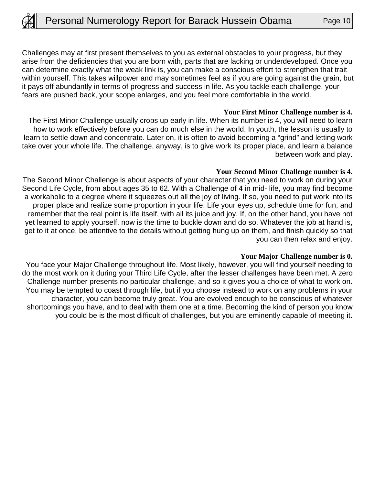Challenges may at first present themselves to you as external obstacles to your progress, but they arise from the deficiencies that you are born with, parts that are lacking or underdeveloped. Once you can determine exactly what the weak link is, you can make a conscious effort to strengthen that trait within yourself. This takes willpower and may sometimes feel as if you are going against the grain, but it pays off abundantly in terms of progress and success in life. As you tackle each challenge, your fears are pushed back, your scope enlarges, and you feel more comfortable in the world.

#### **Your First Minor Challenge number is 4.**

The First Minor Challenge usually crops up early in life. When its number is 4, you will need to learn how to work effectively before you can do much else in the world. In youth, the lesson is usually to learn to settle down and concentrate. Later on, it is often to avoid becoming a "grind" and letting work take over your whole life. The challenge, anyway, is to give work its proper place, and learn a balance between work and play.

#### **Your Second Minor Challenge number is 4.**

The Second Minor Challenge is about aspects of your character that you need to work on during your Second Life Cycle, from about ages 35 to 62. With a Challenge of 4 in mid- life, you may find become a workaholic to a degree where it squeezes out all the joy of living. If so, you need to put work into its proper place and realize some proportion in your life. Life your eyes up, schedule time for fun, and remember that the real point is life itself, with all its juice and joy. If, on the other hand, you have not yet learned to apply yourself, now is the time to buckle down and do so. Whatever the job at hand is, get to it at once, be attentive to the details without getting hung up on them, and finish quickly so that you can then relax and enjoy.

#### **Your Major Challenge number is 0.**

You face your Major Challenge throughout life. Most likely, however, you will find yourself needing to do the most work on it during your Third Life Cycle, after the lesser challenges have been met. A zero Challenge number presents no particular challenge, and so it gives you a choice of what to work on. You may be tempted to coast through life, but if you choose instead to work on any problems in your character, you can become truly great. You are evolved enough to be conscious of whatever shortcomings you have, and to deal with them one at a time. Becoming the kind of person you know you could be is the most difficult of challenges, but you are eminently capable of meeting it.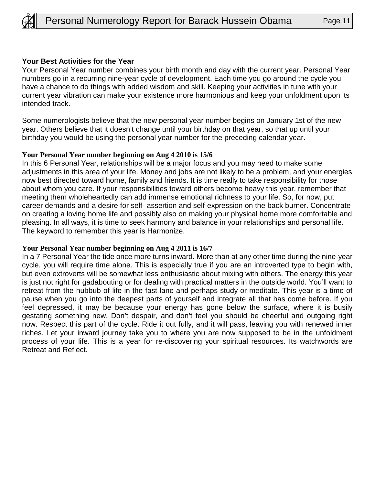

#### **Your Best Activities for the Year**

Your Personal Year number combines your birth month and day with the current year. Personal Year numbers go in a recurring nine-year cycle of development. Each time you go around the cycle you have a chance to do things with added wisdom and skill. Keeping your activities in tune with your current year vibration can make your existence more harmonious and keep your unfoldment upon its intended track.

Some numerologists believe that the new personal year number begins on January 1st of the new year. Others believe that it doesn't change until your birthday on that year, so that up until your birthday you would be using the personal year number for the preceding calendar year.

#### **Your Personal Year number beginning on Aug 4 2010 is 15/6**

In this 6 Personal Year, relationships will be a major focus and you may need to make some adjustments in this area of your life. Money and jobs are not likely to be a problem, and your energies now best directed toward home, family and friends. It is time really to take responsibility for those about whom you care. If your responsibilities toward others become heavy this year, remember that meeting them wholeheartedly can add immense emotional richness to your life. So, for now, put career demands and a desire for self- assertion and self-expression on the back burner. Concentrate on creating a loving home life and possibly also on making your physical home more comfortable and pleasing. In all ways, it is time to seek harmony and balance in your relationships and personal life. The keyword to remember this year is Harmonize.

#### **Your Personal Year number beginning on Aug 4 2011 is 16/7**

In a 7 Personal Year the tide once more turns inward. More than at any other time during the nine-year cycle, you will require time alone. This is especially true if you are an introverted type to begin with, but even extroverts will be somewhat less enthusiastic about mixing with others. The energy this year is just not right for gadabouting or for dealing with practical matters in the outside world. You'll want to retreat from the hubbub of life in the fast lane and perhaps study or meditate. This year is a time of pause when you go into the deepest parts of yourself and integrate all that has come before. If you feel depressed, it may be because your energy has gone below the surface, where it is busily gestating something new. Don't despair, and don't feel you should be cheerful and outgoing right now. Respect this part of the cycle. Ride it out fully, and it will pass, leaving you with renewed inner riches. Let your inward journey take you to where you are now supposed to be in the unfoldment process of your life. This is a year for re-discovering your spiritual resources. Its watchwords are Retreat and Reflect.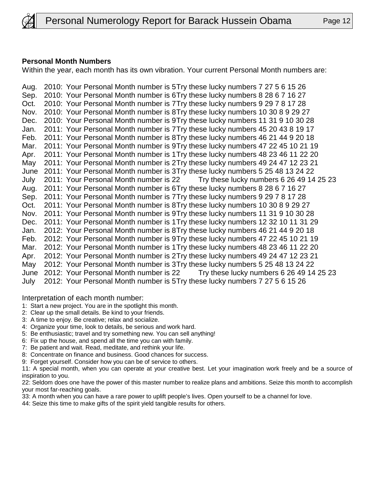

### **Personal Month Numbers**

Within the year, each month has its own vibration. Your current Personal Month numbers are:

Aug. 2010: Your Personal Month number is 5 Try these lucky numbers 7 27 5 6 15 26 Sep. 2010: Your Personal Month number is 6Try these lucky numbers 8 28 6 7 16 27 Oct. 2010: Your Personal Month number is 7 Try these lucky numbers 9 29 7 8 17 28 Nov. 2010: Your Personal Month number is 8 Try these lucky numbers 10 30 8 9 29 27 Dec. 2010: Your Personal Month number is 9 Try these lucky numbers 11 31 9 10 30 28 Jan. 2011: Your Personal Month number is 7 Try these lucky numbers 45 20 43 8 19 17 Feb. 2011: Your Personal Month number is 8 Try these lucky numbers 46 21 44 9 20 18 Mar. 2011: Your Personal Month number is 9Try these lucky numbers 47 22 45 10 21 19 Apr. 2011: Your Personal Month number is 1 Try these lucky numbers 48 23 46 11 22 20 May 2011: Your Personal Month number is 2 Try these lucky numbers 49 24 47 12 23 21 June 2011: Your Personal Month number is 3 Try these lucky numbers 5 25 48 13 24 22 July 2011: Your Personal Month number is 22 Try these lucky numbers 6 26 49 14 25 23 Aug. 2011: Your Personal Month number is 6Try these lucky numbers 8 28 6 7 16 27 Sep. 2011: Your Personal Month number is 7 Try these lucky numbers 9 29 7 8 17 28 Oct. 2011: Your Personal Month number is 8 Try these lucky numbers 10 30 8 9 29 27 Nov. 2011: Your Personal Month number is 9Try these lucky numbers 11 31 9 10 30 28 Dec. 2011: Your Personal Month number is 1 Try these lucky numbers 12 32 10 11 31 29 Jan. 2012: Your Personal Month number is 8 Try these lucky numbers 46 21 44 9 20 18 Feb. 2012: Your Personal Month number is 9Try these lucky numbers 47 22 45 10 21 19 Mar. 2012: Your Personal Month number is 1 Try these lucky numbers 48 23 46 11 22 20 Apr. 2012: Your Personal Month number is 2Try these lucky numbers 49 24 47 12 23 21 May 2012: Your Personal Month number is 3 Try these lucky numbers 5 25 48 13 24 22 June 2012: Your Personal Month number is 22 Try these lucky numbers 6 26 49 14 25 23 July 2012: Your Personal Month number is 5 Try these lucky numbers 7 27 5 6 15 26

Interpretation of each month number:

- 1: Start a new project. You are in the spotlight this month.
- 2: Clear up the small details. Be kind to your friends.
- 3: A time to enjoy. Be creative; relax and socialize.
- 4: Organize your time, look to details, be serious and work hard.
- 5: Be enthusiastic; travel and try something new. You can sell anything!
- 6: Fix up the house, and spend all the time you can with family.
- 7: Be patient and wait. Read, meditate, and rethink your life.
- 8: Concentrate on finance and business. Good chances for success.
- 9: Forget yourself. Consider how you can be of service to others.

11: A special month, when you can operate at your creative best. Let your imagination work freely and be a source of inspiration to you.

22: Seldom does one have the power of this master number to realize plans and ambitions. Seize this month to accomplish your most far-reaching goals.

33: A month when you can have a rare power to uplift people's lives. Open yourself to be a channel for love.

44: Seize this time to make gifts of the spirit yield tangible results for others.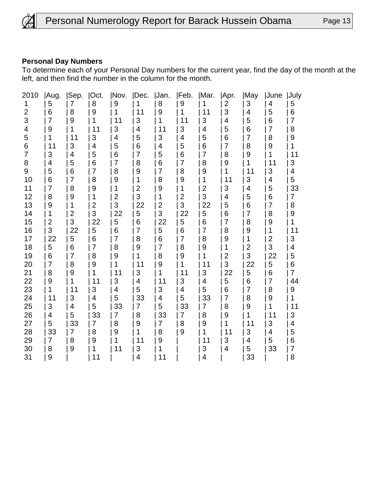

#### **Personal Day Numbers**

To determine each of your Personal Day numbers for the current year, find the day of the month at the left, and then find the number in the column for the month.

| 2010           | Aug.           | Sep. | Oct.         | Nov.           | Dec.           | Jan.           | Feb.                    | Mar.           | Apr.           | May            | June           | <b>July</b> |
|----------------|----------------|------|--------------|----------------|----------------|----------------|-------------------------|----------------|----------------|----------------|----------------|-------------|
| 1              | 5              | 7    | 8            | 9              |                | 8              | 9                       |                | 2              | 3              | 4              | 5           |
| $\overline{2}$ | 6              | 8    | 9            | 1              | 11             | 9              | 1                       | 11             | 3              | 4              | 5              | 6           |
| 3              | 7              | 9    | 1            | 11             | 3              | 1              | 11                      | 3              | 4              | 5              | 6              | 7           |
| 4              | 9              | 1    | 11           | 3              | 4              | 11             | 3                       | 4              | 5              | 6              | 7              | 8           |
| 5              |                | 11   | 3            | 4              | 5              | 3              | $\overline{\mathbf{4}}$ | 5              | 6              | $\overline{7}$ | 8              | 9           |
| 6              | 11             | 3    | 4            | 5              | 6              | 4              | 5                       | 6              | 7              | 8              | 9              | 1           |
| $\overline{7}$ | 3              | 4    | 5            | 6              | 7              | 5              | 6                       | 7              | 8              | 9              | 1              | 11          |
| 8              | 4              | 5    | 6            | 7              | 8              | 6              | $\overline{7}$          | 8              | 9              | 1              | 11             | 3           |
| 9              | 5              | 6    | 7            | 8              | 9              | 7              | 8                       | 9              | 1              | 11             | 3              | 4           |
| 10             | 6              | 7    | 8            | 9              | 1              | 8              | 9                       | 1              | 11             | 3              | 4              | 5           |
| 11             | 7              | 8    | 9            | 1              | $\overline{2}$ | 9              | 1                       | $\overline{c}$ | 3              | 4              | 5              | 33          |
| 12             | 8              | 9    | 1            | $\overline{c}$ | 3              | 1              | $\overline{2}$          | 3              | 4              | 5              | 6              | 7           |
| 13             | 9              | 1    | $\mathbf{2}$ | 3              | 22             | $\overline{2}$ | 3                       | 22             | 5              | 6              | 7              | 8           |
| 14             | 1              | 2    | 3            | 22             | 5              | 3              | 22                      | 5              | 6              | 7              | 8              | 9           |
| 15             | $\overline{2}$ | 3    | 22           | 5              | 6              | 22             | 5                       | 6              | 7              | 8              | 9              | 1           |
| 16             | 3              | 22   | 5            | 6              | 7              | 5              | 6                       | $\overline{7}$ | 8              | 9              | 1              | 11          |
| 17             | 22             | 5    | 6            | 7              | 8              | 6              | 7                       | 8              | 9              | 1              | $\overline{2}$ | 3           |
| 18             | 5              | 6    | 7            | 8              | 9              | 7              | 8                       | 9              | 1              | $\overline{2}$ | 3              | 4           |
| 19             | 6              | 7    | 8            | 9              | 1              | 8              | 9                       | 1              | $\overline{c}$ | 3              | 22             | 5           |
| 20             | 7              | 8    | 9            | 1              | 11             | 9              | 1                       | 11             | 3              | 22             | 5              | 6           |
| 21             | 8              | 9    | 1            | 11             | 3              | 1              | 11                      | 3              | 22             | 5              | 6              | 7           |
| 22             | 9              | 1    | 11           | 3              | 4              | 11             | 3                       | 4              | 5              | 6              | 7              | 44          |
| 23             | 1              | 11   | 3            | 4              | 5              | 3              | 4                       | 5              | 6              | 7              | 8              | 9           |
| 24             | 11             | 3    | 4            | 5              | 33             | 4              | 5                       | 33             | 7              | 8              | 9              | 1           |
| 25             | 3              | 4    | 5            | 33             | 7              | 5              | 33                      | 7              | 8              | 9              | 1              | 11          |
| 26             | 4              | 5    | 33           | 7              | 8              | 33             | 7                       | 8              | 9              | 1              | 11             | 3           |
| 27             | 5              | 33   | 7            | 8              | 9              | 7              | 8                       | 9              | 1              | 11             | 3              | 4           |
| 28             | 33             | 7    | 8            | 9              | 1              | 8              | 9                       | 1              | 11             | 3              | 4              | 5           |
| 29             | 7              | 8    | 9            | 1              | 11             | 9              |                         | 11             | 3              | 4              | 5              | 6           |
| 30             | 8              | 9    | 1            | 11             | 3              | 1              |                         | 3              | 4              | 5              | 33             | 7           |
| 31             | 9              |      | 11           |                | 4              | 11             |                         | 4              |                | 33             |                | 8           |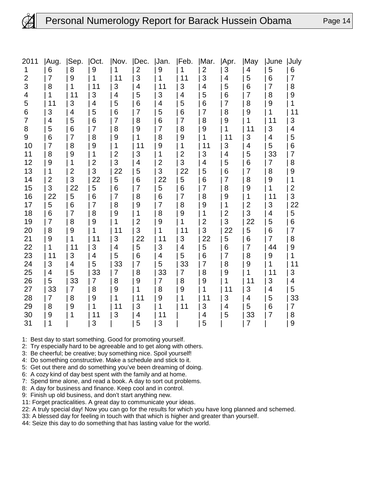### Personal Numerology Report for Barack Hussein Obama Page 14

| 2011           | Aug.           | Sep. | Oct.             | INov.          | Dec. | Jan.           | <b>IFeb.</b>   | Mar.           | Apr.           | May                     | <b>June</b> | <b>July</b>             |
|----------------|----------------|------|------------------|----------------|------|----------------|----------------|----------------|----------------|-------------------------|-------------|-------------------------|
| 1              | 6              | 8    | $\boldsymbol{9}$ | 1              | 2    | 9              |                | $\mathbf{2}$   | 3              | 4                       | 5           | 6                       |
| $\overline{2}$ | 7              | 9    | 1                | 11             | 3    | 1              | 11             | 3              | 4              | 5                       | 6           | 7                       |
| 3              | 8              | 1    | 11               | 3              | 4    | 11             | 3              | 4              | 5              | 6                       | 7           | 8                       |
| 4              | 1              | 11   | 3                | 4              | 5    | 3              | 4              | 5              | 6              | 7                       | 8           | 9                       |
| 5              | 11             | 3    | 4                | 5              | 6    | 4              | 5              | 6              | 7              | 8                       | 9           |                         |
| 6              | 3              | 4    | 5                | 6              | 7    | 5              | 6              | 7              | 8              | 9                       | 1           | 11                      |
| $\overline{7}$ | 4              | 5    | 6                | 7              | 8    | 6              | $\overline{7}$ | 8              | 9              | 1                       | 11          | 3                       |
| 8              | 5              | 6    | 7                | 8              | 9    | 7              | 8              | 9              | 1              | 11                      | 3           | 4                       |
| 9              | 6              | 7    | 8                | 9              |      | 8              | 9              | 1              | 11             | 3                       | 4           | 5                       |
| 10             | 7              | 8    | 9                | 1              | 11   | 9              | 1              | 11             | 3              | $\overline{\mathbf{4}}$ | 5           | 6                       |
| 11             | 8              | 9    | 1                | $\overline{2}$ | 3    | 1              | $\overline{2}$ | 3              | 4              | 5                       | 33          | 7                       |
| 12             | 9              | 1    | $\overline{2}$   | 3              | 4    | $\overline{2}$ | 3              | 4              | 5              | 6                       | 7           | 8                       |
| 13             | 1              | 2    | 3                | 22             | 5    | 3              | 22             | 5              | 6              | 7                       | 8           | 9                       |
| 14             | $\overline{2}$ | 3    | 22               | 5              | 6    | 22             | 5              | 6              | 7              | 8                       | 9           | 1                       |
| 15             | 3              | 22   | 5                | 6              | 7    | 5              | 6              | 7              | 8              | 9                       | 1           | $\overline{\mathbf{c}}$ |
| 16             | 22             | 5    | 6                | 7              | 8    | 6              | $\overline{7}$ | 8              | 9              | 1                       | 11          | 3                       |
| 17             | 5              | 6    | 7                | 8              | 9    | 7              | 8              | 9              | 1              | $\mathbf{2}$            | 3           | 22                      |
| 18             | 6              | 7    | 8                | 9              | 1    | 8              | 9              | 1              | $\overline{2}$ | 3                       | 4           | 5                       |
| 19             | $\overline{7}$ | 8    | 9                | 1              | 2    | 9              | 1              | $\overline{2}$ | 3              | 22                      | 5           | 6                       |
| 20             | 8              | 9    | 1                | 11             | 3    | 1              | 11             | 3              | 22             | 5                       | 6           | 7                       |
| 21             | 9              | 1    | 11               | 3              | 22   | 11             | 3              | 22             | 5              | 6                       | 7           | 8                       |
| 22             | 1              | 11   | 3                | 4              | 5    | 3              | 4              | 5              | 6              | 7                       | 44          | 9                       |
| 23             | 11             | 3    | 4                | 5              | 6    | 4              | 5              | 6              | 7              | 8                       | 9           | 1                       |
| 24             | 3              | 4    | 5                | 33             | 7    | 5              | 33             | 7              | 8              | 9                       | 1           | 11                      |
| 25             | 4              | 5    | 33               | 7              | 8    | 33             | 7              | 8              | 9              | 1                       | 11          | 3                       |
| 26             | 5              | 33   | 7                | 8              | 9    | 7              | 8              | 9              | 1              | 11                      | 3           | 4                       |
| 27             | 33             | 7    | 8                | 9              | 1    | 8              | 9              | 1              | 11             | 3                       | 4           | 5                       |
| 28             | 7              | 8    | 9                | 1              | 11   | 9              | 1              | 11             | 3              | 4                       | 5           | 33                      |
| 29             | 8              | 9    | 1                | 11             | 3    | 1              | 11             | 3              | 4              | 5                       | 6           | 7                       |
| 30             | 9              | 1    | 11               | 3              | 4    | 11             |                | 4              | 5              | 33                      | 7           | 8                       |
| 31             | 1              |      | 3                |                | 5    | 3              |                | 5              |                | 7                       |             | 9                       |

1: Best day to start something. Good for promoting yourself.

2: Try especially hard to be agreeable and to get along with others.

3: Be cheerful; be creative; buy something nice. Spoil yourself!

4: Do something constructive. Make a schedule and stick to it.

5: Get out there and do something you've been dreaming of doing.

6: A cozy kind of day best spent with the family and at home.

7: Spend time alone, and read a book. A day to sort out problems.

8: A day for business and finance. Keep cool and in control.

9: Finish up old business, and don't start anything new.

11: Forget practicalities. A great day to communicate your ideas.

22: A truly special day! Now you can go for the results for which you have long planned and schemed.

33: A blessed day for feeling in touch with that which is higher and greater than yourself.

44: Seize this day to do something that has lasting value for the world.